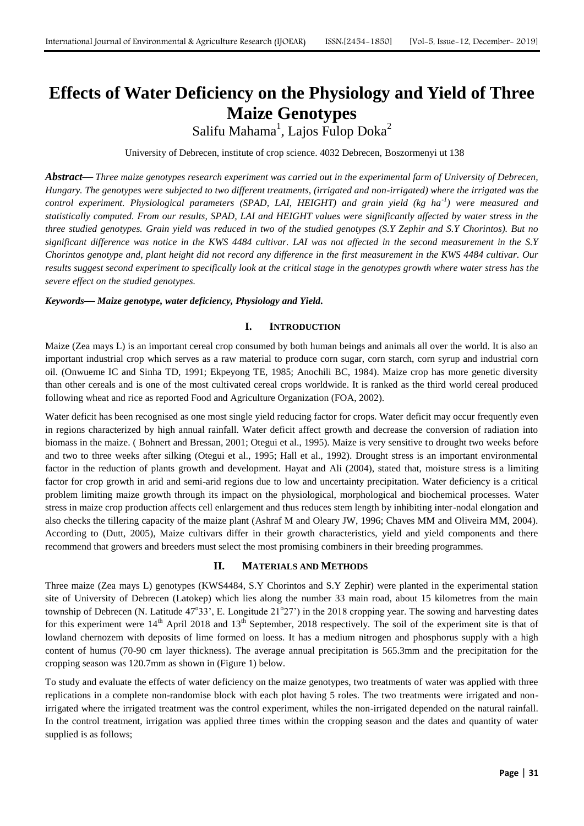# **Effects of Water Deficiency on the Physiology and Yield of Three Maize Genotypes**

Salifu Mahama<sup>1</sup>, Lajos Fulop Doka<sup>2</sup>

University of Debrecen, institute of crop science. 4032 Debrecen, Boszormenyi ut 138

*Abstract***—** *Three maize genotypes research experiment was carried out in the experimental farm of University of Debrecen, Hungary. The genotypes were subjected to two different treatments, (irrigated and non-irrigated) where the irrigated was the control experiment. Physiological parameters (SPAD, LAI, HEIGHT) and grain yield (kg ha-1 ) were measured and statistically computed. From our results, SPAD, LAI and HEIGHT values were significantly affected by water stress in the three studied genotypes. Grain yield was reduced in two of the studied genotypes (S.Y Zephir and S.Y Chorintos). But no significant difference was notice in the KWS 4484 cultivar. LAI was not affected in the second measurement in the S.Y Chorintos genotype and, plant height did not record any difference in the first measurement in the KWS 4484 cultivar. Our results suggest second experiment to specifically look at the critical stage in the genotypes growth where water stress has the severe effect on the studied genotypes.*

#### *Keywords***—** *Maize genotype, water deficiency, Physiology and Yield.*

#### **I. INTRODUCTION**

Maize (Zea mays L) is an important cereal crop consumed by both human beings and animals all over the world. It is also an important industrial crop which serves as a raw material to produce corn sugar, corn starch, corn syrup and industrial corn oil. (Onwueme IC and Sinha TD, 1991; Ekpeyong TE, 1985; Anochili BC, 1984). Maize crop has more genetic diversity than other cereals and is one of the most cultivated cereal crops worldwide. It is ranked as the third world cereal produced following wheat and rice as reported Food and Agriculture Organization (FOA, 2002).

Water deficit has been recognised as one most single yield reducing factor for crops. Water deficit may occur frequently even in regions characterized by high annual rainfall. Water deficit affect growth and decrease the conversion of radiation into biomass in the maize. ( Bohnert and Bressan, 2001; Otegui et al., 1995). Maize is very sensitive to drought two weeks before and two to three weeks after silking (Otegui et al., 1995; Hall et al., 1992). Drought stress is an important environmental factor in the reduction of plants growth and development. Hayat and Ali (2004), stated that, moisture stress is a limiting factor for crop growth in arid and semi-arid regions due to low and uncertainty precipitation. Water deficiency is a critical problem limiting maize growth through its impact on the physiological, morphological and biochemical processes. Water stress in maize crop production affects cell enlargement and thus reduces stem length by inhibiting inter-nodal elongation and also checks the tillering capacity of the maize plant (Ashraf M and Oleary JW, 1996; Chaves MM and Oliveira MM, 2004). According to (Dutt, 2005), Maize cultivars differ in their growth characteristics, yield and yield components and there recommend that growers and breeders must select the most promising combiners in their breeding programmes.

## **II. MATERIALS AND METHODS**

Three maize (Zea mays L) genotypes (KWS4484, S.Y Chorintos and S.Y Zephir) were planted in the experimental station site of University of Debrecen (Latokep) which lies along the number 33 main road, about 15 kilometres from the main township of Debrecen (N. Latitude 47°33', E. Longitude 21°27') in the 2018 cropping year. The sowing and harvesting dates for this experiment were  $14<sup>th</sup>$  April 2018 and  $13<sup>th</sup>$  September, 2018 respectively. The soil of the experiment site is that of lowland chernozem with deposits of lime formed on loess. It has a medium nitrogen and phosphorus supply with a high content of humus (70-90 cm layer thickness). The average annual precipitation is 565.3mm and the precipitation for the cropping season was 120.7mm as shown in (Figure 1) below.

To study and evaluate the effects of water deficiency on the maize genotypes, two treatments of water was applied with three replications in a complete non-randomise block with each plot having 5 roles. The two treatments were irrigated and nonirrigated where the irrigated treatment was the control experiment, whiles the non-irrigated depended on the natural rainfall. In the control treatment, irrigation was applied three times within the cropping season and the dates and quantity of water supplied is as follows;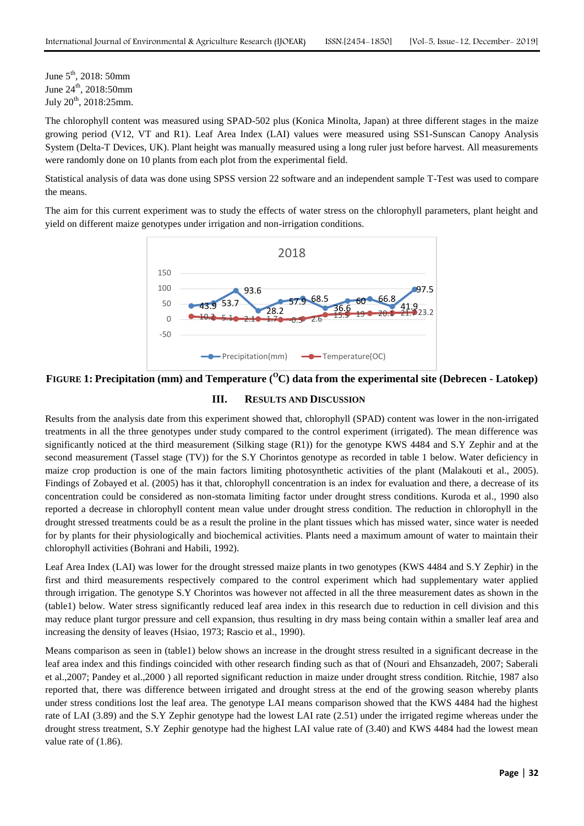June  $5^{\text{th}}$ , 2018: 50mm June  $24^{\text{th}}$ , 2018:50mm July 20th , 2018:25mm.

The chlorophyll content was measured using SPAD-502 plus (Konica Minolta, Japan) at three different stages in the maize growing period (V12, VT and R1). Leaf Area Index (LAI) values were measured using SS1-Sunscan Canopy Analysis System (Delta-T Devices, UK). Plant height was manually measured using a long ruler just before harvest. All measurements were randomly done on 10 plants from each plot from the experimental field.

Statistical analysis of data was done using SPSS version 22 software and an independent sample T-Test was used to compare the means.

The aim for this current experiment was to study the effects of water stress on the chlorophyll parameters, plant height and yield on different maize genotypes under irrigation and non-irrigation conditions.



**FIGURE 1: Precipitation (mm) and Temperature (<sup>O</sup>C) data from the experimental site (Debrecen - Latokep)**

# **III. RESULTS AND DISCUSSION**

Results from the analysis date from this experiment showed that, chlorophyll (SPAD) content was lower in the non-irrigated treatments in all the three genotypes under study compared to the control experiment (irrigated). The mean difference was significantly noticed at the third measurement (Silking stage (R1)) for the genotype KWS 4484 and S.Y Zephir and at the second measurement (Tassel stage (TV)) for the S.Y Chorintos genotype as recorded in table 1 below. Water deficiency in maize crop production is one of the main factors limiting photosynthetic activities of the plant (Malakouti et al., 2005). Findings of Zobayed et al. (2005) has it that, chlorophyll concentration is an index for evaluation and there, a decrease of its concentration could be considered as non-stomata limiting factor under drought stress conditions. Kuroda et al., 1990 also reported a decrease in chlorophyll content mean value under drought stress condition. The reduction in chlorophyll in the drought stressed treatments could be as a result the proline in the plant tissues which has missed water, since water is needed for by plants for their physiologically and biochemical activities. Plants need a maximum amount of water to maintain their chlorophyll activities (Bohrani and Habili, 1992).

Leaf Area Index (LAI) was lower for the drought stressed maize plants in two genotypes (KWS 4484 and S.Y Zephir) in the first and third measurements respectively compared to the control experiment which had supplementary water applied through irrigation. The genotype S.Y Chorintos was however not affected in all the three measurement dates as shown in the (table1) below. Water stress significantly reduced leaf area index in this research due to reduction in cell division and this may reduce plant turgor pressure and cell expansion, thus resulting in dry mass being contain within a smaller leaf area and increasing the density of leaves (Hsiao, 1973; Rascio et al., 1990).

Means comparison as seen in (table1) below shows an increase in the drought stress resulted in a significant decrease in the leaf area index and this findings coincided with other research finding such as that of (Nouri and Ehsanzadeh, 2007; Saberali et al.,2007; Pandey et al.,2000 ) all reported significant reduction in maize under drought stress condition. Ritchie, 1987 also reported that, there was difference between irrigated and drought stress at the end of the growing season whereby plants under stress conditions lost the leaf area. The genotype LAI means comparison showed that the KWS 4484 had the highest rate of LAI (3.89) and the S.Y Zephir genotype had the lowest LAI rate (2.51) under the irrigated regime whereas under the drought stress treatment, S.Y Zephir genotype had the highest LAI value rate of (3.40) and KWS 4484 had the lowest mean value rate of (1.86).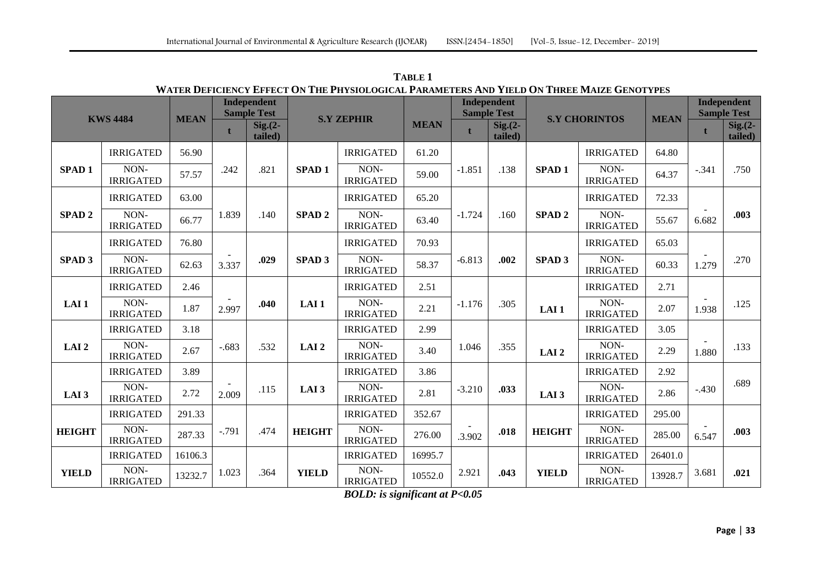| <b>KWS 4484</b>   |                          | <b>MEAN</b> | Independent<br><b>Sample Test</b> |                        | WATER DEFICIENCY EFFECT ON THE PHYSIOLOGICAL PARAMETERS AND YIELD ON THREE MAIZE GENOTYPES |                                                                                                  |             | <b>Independent</b><br><b>Sample Test</b> |                      |                   |                          |             | <b>Independent</b><br><b>Sample Test</b> |                        |
|-------------------|--------------------------|-------------|-----------------------------------|------------------------|--------------------------------------------------------------------------------------------|--------------------------------------------------------------------------------------------------|-------------|------------------------------------------|----------------------|-------------------|--------------------------|-------------|------------------------------------------|------------------------|
|                   |                          |             | $\mathbf{t}$                      | $Sig. (2 -$<br>tailed) |                                                                                            | <b>S.Y ZEPHIR</b>                                                                                | <b>MEAN</b> |                                          | $Sig.(2-$<br>tailed) |                   | <b>S.Y CHORINTOS</b>     | <b>MEAN</b> |                                          | $Sig. (2 -$<br>tailed) |
|                   | <b>IRRIGATED</b>         | 56.90       |                                   |                        |                                                                                            | <b>IRRIGATED</b>                                                                                 | 61.20       |                                          |                      |                   | <b>IRRIGATED</b>         | 64.80       |                                          |                        |
| <b>SPAD1</b>      | NON-<br><b>IRRIGATED</b> | 57.57       | .242                              | .821                   | <b>SPAD1</b>                                                                               | NON-<br><b>IRRIGATED</b>                                                                         | 59.00       | $-1.851$                                 | .138                 | SPAD <sub>1</sub> | NON-<br><b>IRRIGATED</b> | 64.37       | $-.341$                                  | .750                   |
|                   | <b>IRRIGATED</b>         | 63.00       |                                   |                        |                                                                                            | <b>IRRIGATED</b>                                                                                 | 65.20       |                                          |                      |                   | <b>IRRIGATED</b>         | 72.33       |                                          |                        |
| SPAD <sub>2</sub> | NON-<br><b>IRRIGATED</b> | 66.77       | 1.839                             | .140                   | SPAD <sub>2</sub>                                                                          | NON-<br><b>IRRIGATED</b>                                                                         | 63.40       | $-1.724$                                 | .160                 | SPAD <sub>2</sub> | NON-<br><b>IRRIGATED</b> | 55.67       | 6.682                                    | .003                   |
|                   | <b>IRRIGATED</b>         | 76.80       |                                   |                        |                                                                                            | <b>IRRIGATED</b>                                                                                 | 70.93       |                                          |                      |                   | <b>IRRIGATED</b>         | 65.03       |                                          |                        |
| <b>SPAD 3</b>     | NON-<br><b>IRRIGATED</b> | 62.63       | 3.337                             | .029                   | SPAD <sub>3</sub>                                                                          | NON-<br><b>IRRIGATED</b>                                                                         | 58.37       | $-6.813$                                 | .002                 | <b>SPAD 3</b>     | NON-<br><b>IRRIGATED</b> | 60.33       | 1.279                                    | .270                   |
|                   | <b>IRRIGATED</b>         | 2.46        |                                   |                        |                                                                                            | <b>IRRIGATED</b>                                                                                 | 2.51        |                                          |                      |                   | <b>IRRIGATED</b>         | 2.71        |                                          |                        |
| LAI <sub>1</sub>  | NON-<br><b>IRRIGATED</b> | 1.87        | 2.997                             | .040                   | LAI <sub>1</sub>                                                                           | NON-<br><b>IRRIGATED</b>                                                                         | 2.21        | $-1.176$                                 | .305                 | LAI <sub>1</sub>  | NON-<br><b>IRRIGATED</b> | 2.07        | 1.938                                    | .125                   |
|                   | <b>IRRIGATED</b>         | 3.18        |                                   |                        |                                                                                            | <b>IRRIGATED</b>                                                                                 | 2.99        |                                          |                      |                   | <b>IRRIGATED</b>         | 3.05        |                                          |                        |
| LAI <sub>2</sub>  | NON-<br><b>IRRIGATED</b> | 2.67        | $-.683$                           | .532                   | LAI <sub>2</sub>                                                                           | NON-<br><b>IRRIGATED</b>                                                                         | 3.40        | 1.046                                    | .355                 | LAI <sub>2</sub>  | NON-<br><b>IRRIGATED</b> | 2.29        | 1.880                                    | .133                   |
|                   | <b>IRRIGATED</b>         | 3.89        |                                   |                        |                                                                                            | <b>IRRIGATED</b>                                                                                 | 3.86        |                                          |                      |                   | <b>IRRIGATED</b>         | 2.92        |                                          |                        |
| LAI <sub>3</sub>  | NON-<br><b>IRRIGATED</b> | 2.72        | 2.009                             | .115                   | LAI <sub>3</sub>                                                                           | NON-<br><b>IRRIGATED</b>                                                                         | 2.81        | $-3.210$                                 | .033                 | LAI <sub>3</sub>  | NON-<br><b>IRRIGATED</b> | 2.86        | $-.430$                                  | .689                   |
|                   | <b>IRRIGATED</b>         | 291.33      |                                   |                        |                                                                                            | <b>IRRIGATED</b>                                                                                 | 352.67      |                                          |                      |                   | <b>IRRIGATED</b>         | 295.00      |                                          |                        |
| <b>HEIGHT</b>     | NON-<br><b>IRRIGATED</b> | 287.33      | $-.791$                           | .474                   | <b>HEIGHT</b>                                                                              | NON-<br><b>IRRIGATED</b>                                                                         | 276.00      | .3.902                                   | .018                 | <b>HEIGHT</b>     | NON-<br><b>IRRIGATED</b> | 285.00      | 6.547                                    | .003                   |
|                   | <b>IRRIGATED</b>         | 16106.3     |                                   |                        |                                                                                            | <b>IRRIGATED</b>                                                                                 | 16995.7     |                                          |                      |                   | <b>IRRIGATED</b>         | 26401.0     |                                          |                        |
| <b>YIELD</b>      | NON-<br><b>IRRIGATED</b> | 13232.7     | 1.023                             | .364                   | <b>YIELD</b>                                                                               | NON-<br><b>IRRIGATED</b><br>$\mathbf{p} \alpha \mathbf{r} \mathbf{p}$ $\cdots$ $\alpha$ $\alpha$ | 10552.0     | 2.921                                    | .043                 | <b>YIELD</b>      | NON-<br><b>IRRIGATED</b> | 13928.7     | 3.681                                    | .021                   |

**TABLE 1** WATER DEFICIENCY FEEDOT ON THE DIVISION OCICAL BARAMETERS AND VIELD ON THREE MAIZE CENOTYDES

*BOLD: is significant at P<0.05*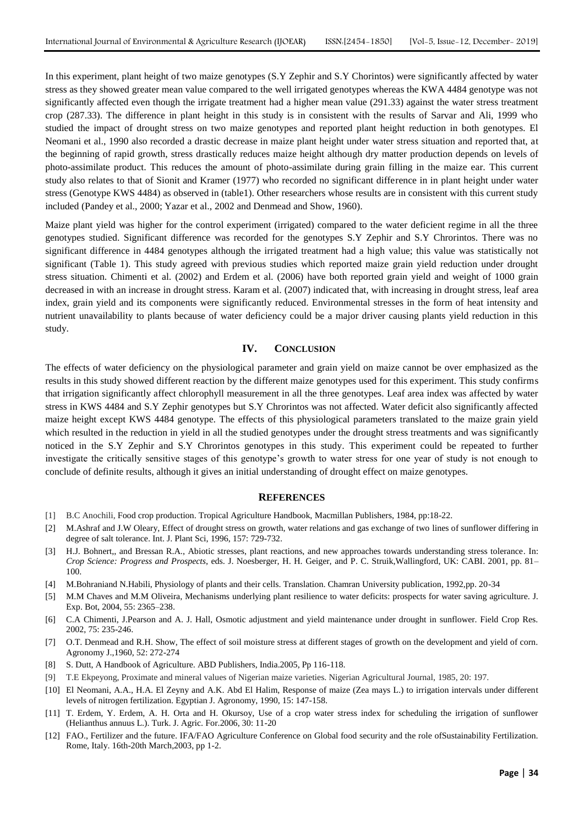In this experiment, plant height of two maize genotypes (S.Y Zephir and S.Y Chorintos) were significantly affected by water stress as they showed greater mean value compared to the well irrigated genotypes whereas the KWA 4484 genotype was not significantly affected even though the irrigate treatment had a higher mean value (291.33) against the water stress treatment crop (287.33). The difference in plant height in this study is in consistent with the results of Sarvar and Ali, 1999 who studied the impact of drought stress on two maize genotypes and reported plant height reduction in both genotypes. El Neomani et al., 1990 also recorded a drastic decrease in maize plant height under water stress situation and reported that, at the beginning of rapid growth, stress drastically reduces maize height although dry matter production depends on levels of photo-assimilate product. This reduces the amount of photo-assimilate during grain filling in the maize ear. This current study also relates to that of Sionit and Kramer (1977) who recorded no significant difference in in plant height under water stress (Genotype KWS 4484) as observed in (table1). Other researchers whose results are in consistent with this current study included (Pandey et al., 2000; Yazar et al., 2002 and Denmead and Show, 1960).

Maize plant yield was higher for the control experiment (irrigated) compared to the water deficient regime in all the three genotypes studied. Significant difference was recorded for the genotypes S.Y Zephir and S.Y Chrorintos. There was no significant difference in 4484 genotypes although the irrigated treatment had a high value; this value was statistically not significant (Table 1). This study agreed with previous studies which reported maize grain yield reduction under drought stress situation. Chimenti et al. (2002) and Erdem et al. (2006) have both reported grain yield and weight of 1000 grain decreased in with an increase in drought stress. Karam et al. (2007) indicated that, with increasing in drought stress, leaf area index, grain yield and its components were significantly reduced. Environmental stresses in the form of heat intensity and nutrient unavailability to plants because of water deficiency could be a major driver causing plants yield reduction in this study.

## **IV. CONCLUSION**

The effects of water deficiency on the physiological parameter and grain yield on maize cannot be over emphasized as the results in this study showed different reaction by the different maize genotypes used for this experiment. This study confirms that irrigation significantly affect chlorophyll measurement in all the three genotypes. Leaf area index was affected by water stress in KWS 4484 and S.Y Zephir genotypes but S.Y Chrorintos was not affected. Water deficit also significantly affected maize height except KWS 4484 genotype. The effects of this physiological parameters translated to the maize grain yield which resulted in the reduction in yield in all the studied genotypes under the drought stress treatments and was significantly noticed in the S.Y Zephir and S.Y Chrorintos genotypes in this study. This experiment could be repeated to further investigate the critically sensitive stages of this genotype's growth to water stress for one year of study is not enough to conclude of definite results, although it gives an initial understanding of drought effect on maize genotypes.

#### **REFERENCES**

- [1] B.C Anochili, Food crop production. Tropical Agriculture Handbook, Macmillan Publishers, 1984, pp:18-22.
- [2] M.Ashraf and J.W Oleary, Effect of drought stress on growth, water relations and gas exchange of two lines of sunflower differing in degree of salt tolerance. Int. J. Plant Sci, 1996, 157: 729-732.
- [3] H.J. Bohnert,, and Bressan R.A., Abiotic stresses, plant reactions, and new approaches towards understanding stress tolerance. In: *Crop Science: Progress and Prospects*, eds. J. Noesberger, H. H. Geiger, and P. C. Struik,Wallingford, UK: CABI. 2001, pp. 81– 100.
- [4] M.Bohraniand N.Habili, Physiology of plants and their cells. Translation. Chamran University publication, 1992,pp. 20-34
- [5] M.M Chaves and M.M Oliveira, Mechanisms underlying plant resilience to water deficits: prospects for water saving agriculture. J. Exp. Bot, 2004, 55: 2365–238.
- [6] C.A Chimenti, J.Pearson and A. J. Hall, Osmotic adjustment and yield maintenance under drought in sunflower. Field Crop Res. 2002, 75: 235-246.
- [7] O.T. Denmead and R.H. Show, The effect of soil moisture stress at different stages of growth on the development and yield of corn. Agronomy J.,1960, 52: 272-274
- S. Dutt, A Handbook of Agriculture. ABD Publishers, India.2005, Pp 116-118.
- [9] T.E Ekpeyong, Proximate and mineral values of Nigerian maize varieties. Nigerian Agricultural Journal, 1985, 20: 197.
- [10] El Neomani, A.A., H.A. El Zeyny and A.K. Abd El Halim, Response of maize (Zea mays L.) to irrigation intervals under different levels of nitrogen fertilization. Egyptian J. Agronomy, 1990, 15: 147-158.
- [11] T. Erdem, Y. Erdem, A. H. Orta and H. Okursoy, Use of a crop water stress index for scheduling the irrigation of sunflower (Helianthus annuus L.). Turk. J. Agric. For.2006, 30: 11-20
- [12] FAO., Fertilizer and the future. IFA/FAO Agriculture Conference on Global food security and the role ofSustainability Fertilization. Rome, Italy. 16th-20th March,2003, pp 1-2.